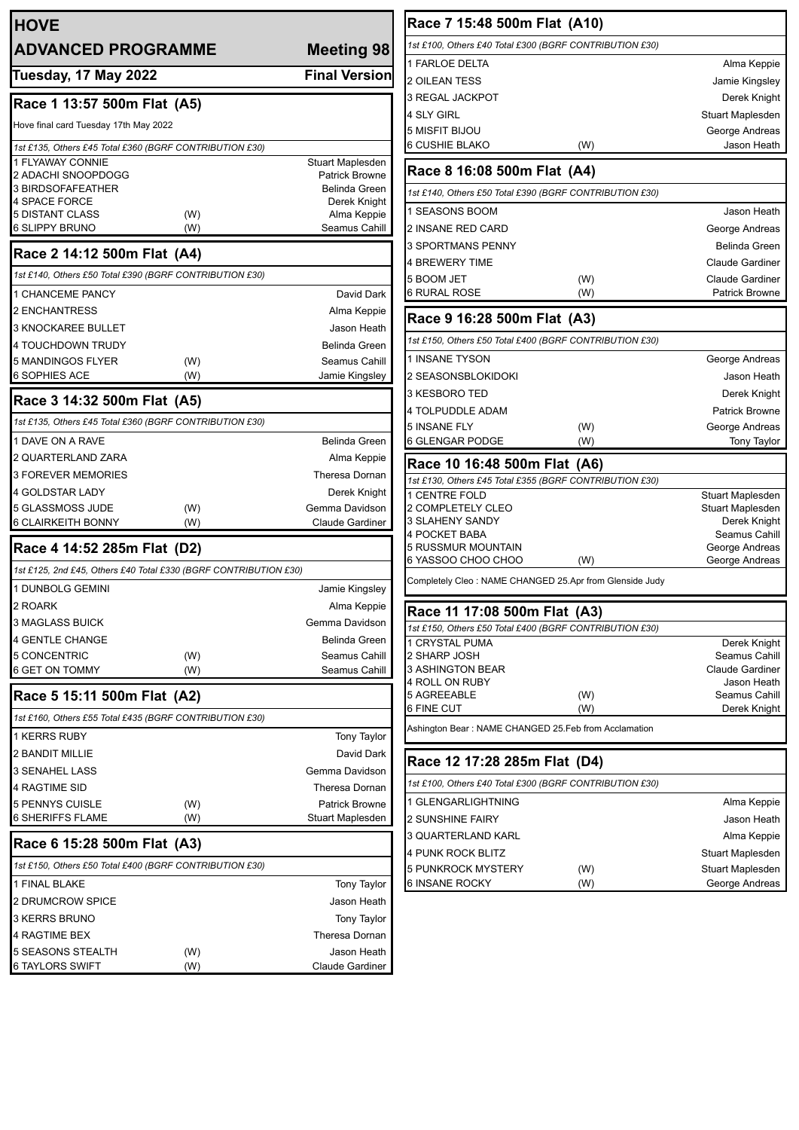| <b>HOVE</b>                                                      |     |                             |
|------------------------------------------------------------------|-----|-----------------------------|
| <b>ADVANCED PROGRAMME</b>                                        |     | <b>Meeting 98</b>           |
| <b>Tuesday, 17 May 2022</b>                                      |     | <b>Final Version</b>        |
| Race 1 13:57 500m Flat (A5)                                      |     |                             |
| Hove final card Tuesday 17th May 2022                            |     |                             |
| 1st £135, Others £45 Total £360 (BGRF CONTRIBUTION £30)          |     |                             |
| 1 FLYAWAY CONNIE                                                 |     | Stuart Maplesden            |
| 2 ADACHI SNOOPDOGG                                               |     | <b>Patrick Browne</b>       |
| 3 BIRDSOFAFEATHER                                                |     | Belinda Green               |
| 4 SPACE FORCE<br><b>5 DISTANT CLASS</b>                          | (W) | Derek Knight<br>Alma Keppie |
| 6 SLIPPY BRUNO                                                   | (W) | Seamus Cahill               |
| Race 2 14:12 500m Flat (A4)                                      |     |                             |
| 1st £140, Others £50 Total £390 (BGRF CONTRIBUTION £30)          |     |                             |
| 1 CHANCEME PANCY                                                 |     | David Dark                  |
| 2 ENCHANTRESS                                                    |     | Alma Keppie                 |
| 3 KNOCKAREE BULLET                                               |     | Jason Heath                 |
| <b>4 TOUCHDOWN TRUDY</b>                                         |     | <b>Belinda Green</b>        |
| 5 MANDINGOS FLYER                                                | (W) | Seamus Cahill               |
| 6 SOPHIES ACE                                                    | (W) | Jamie Kingsley              |
| Race 3 14:32 500m Flat (A5)                                      |     |                             |
| 1st £135, Others £45 Total £360 (BGRF CONTRIBUTION £30)          |     |                             |
| 1 DAVE ON A RAVE                                                 |     | Belinda Green               |
| 2 QUARTERLAND ZARA                                               |     | Alma Keppie                 |
| 3 FOREVER MEMORIES                                               |     | Theresa Dornan              |
| 4 GOLDSTAR LADY                                                  |     | Derek Knight                |
| 5 GLASSMOSS JUDE                                                 | (W) | Gemma Davidson              |
| 6 CLAIRKEITH BONNY                                               | (W) | <b>Claude Gardiner</b>      |
| Race 4 14:52 285m Flat (D2)                                      |     |                             |
| 1st £125, 2nd £45, Others £40 Total £330 (BGRF CONTRIBUTION £30) |     |                             |
| 1 DUNBOLG GEMINI                                                 |     | Jamie Kingsley              |
| 2 ROARK                                                          |     | Alma Keppie                 |
| 3 MAGLASS BUICK                                                  |     | Gemma Davidson              |
| 4 GENTLE CHANGE                                                  |     | <b>Belinda Green</b>        |
| 5 CONCENTRIC                                                     | (W) | Seamus Cahill               |
| 6 GET ON TOMMY                                                   | (W) | Seamus Cahill               |
| Race 5 15:11 500m Flat (A2)                                      |     |                             |
| 1st £160, Others £55 Total £435 (BGRF CONTRIBUTION £30)          |     |                             |
| 1 KERRS RUBY                                                     |     | <b>Tony Taylor</b>          |
| 2 BANDIT MILLIE                                                  |     | David Dark                  |
| <b>3 SENAHEL LASS</b>                                            |     | Gemma Davidson              |
| 4 RAGTIME SID                                                    |     | Theresa Dornan              |
| 5 PENNYS CUISLE                                                  | (W) | <b>Patrick Browne</b>       |
| 6 SHERIFFS FLAME                                                 | (W) | Stuart Maplesden            |
| Race 6 15:28 500m Flat (A3)                                      |     |                             |
| 1st £150, Others £50 Total £400 (BGRF CONTRIBUTION £30)          |     |                             |
| 1 FINAL BLAKE                                                    |     | <b>Tony Taylor</b>          |
| 2 DRUMCROW SPICE                                                 |     | Jason Heath                 |
| 3 KERRS BRUNO                                                    |     | Tony Taylor                 |
| 4 RAGTIME BEX                                                    |     | Theresa Dornan              |
| 5 SEASONS STEALTH                                                | (W) | Jason Heath                 |
| <b>6 TAYLORS SWIFT</b>                                           | (W) | Claude Gardiner             |

| Race 7 15:48 500m Flat (A10)                            |            |                                  |  |
|---------------------------------------------------------|------------|----------------------------------|--|
| 1st £100, Others £40 Total £300 (BGRF CONTRIBUTION £30) |            |                                  |  |
| 1 FARLOE DELTA                                          |            | Alma Keppie                      |  |
| <b>2 OILEAN TESS</b>                                    |            | Jamie Kingsley                   |  |
| 3 REGAL JACKPOT                                         |            | Derek Knight                     |  |
| 4 SLY GIRL                                              |            | Stuart Maplesden                 |  |
| 5 MISFIT BIJOU                                          |            | George Andreas                   |  |
| 6 CUSHIE BLAKO                                          | (W)        | Jason Heath                      |  |
| Race 8 16:08 500m Flat (A4)                             |            |                                  |  |
| 1st £140, Others £50 Total £390 (BGRF CONTRIBUTION £30) |            |                                  |  |
| 1 SEASONS BOOM                                          |            | Jason Heath                      |  |
| 2 INSANE RED CARD                                       |            | George Andreas                   |  |
| 3 SPORTMANS PENNY                                       |            | Belinda Green                    |  |
| 4 BREWERY TIME                                          |            | <b>Claude Gardiner</b>           |  |
| 5 BOOM JET                                              | (W)        | <b>Claude Gardiner</b>           |  |
| 6 RURAL ROSE                                            | (W)        | Patrick Browne                   |  |
| Race 9 16:28 500m Flat (A3)                             |            |                                  |  |
| 1st £150, Others £50 Total £400 (BGRF CONTRIBUTION £30) |            |                                  |  |
| 1 INSANE TYSON                                          |            | George Andreas                   |  |
| 2 SEASONSBLOKIDOKI                                      |            | Jason Heath                      |  |
| 3 KESBORO TED                                           |            | Derek Knight                     |  |
| 4 TOLPUDDLE ADAM                                        |            | <b>Patrick Browne</b>            |  |
| 5 INSANE FLY                                            | (W)        | George Andreas                   |  |
| 6 GLENGAR PODGE                                         | (W)        | <b>Tony Taylor</b>               |  |
| Race 10 16:48 500m Flat (A6)                            |            |                                  |  |
| 1st £130, Others £45 Total £355 (BGRF CONTRIBUTION £30) |            |                                  |  |
| <b>1 CENTRE FOLD</b><br>2 COMPLETELY CLEO               |            | Stuart Maplesden                 |  |
| 3 SLAHENY SANDY                                         |            | Stuart Maplesden<br>Derek Knight |  |
| 4 POCKET BABA                                           |            | Seamus Cahill                    |  |
| 5 RUSSMUR MOUNTAIN                                      |            | George Andreas                   |  |
| 6 YASSOO CHOO CHOO                                      | (W)        | George Andreas                   |  |
| Completely Cleo: NAME CHANGED 25.Apr from Glenside Judy |            |                                  |  |
| Race 11 17:08 500m Flat (A3)                            |            |                                  |  |
| 1st £150, Others £50 Total £400 (BGRF CONTRIBUTION £30) |            |                                  |  |
| 1 CRYSTAL PUMA                                          |            | Derek Knight                     |  |
| 2 SHARP JOSH                                            |            | Seamus Cahill                    |  |
| 3 ASHINGTON BEAR                                        |            | Claude Gardiner                  |  |
| 4 ROLL ON RUBY                                          |            | Jason Heath                      |  |
| 5 AGREEABLE<br>6 FINE CUT                               | (W)<br>(W) | Seamus Cahill<br>Derek Knight    |  |
| Ashington Bear : NAME CHANGED 25.Feb from Acclamation   |            |                                  |  |
|                                                         |            |                                  |  |
| Race 12 17:28 285m Flat (D4)                            |            |                                  |  |
| 1st £100, Others £40 Total £300 (BGRF CONTRIBUTION £30) |            |                                  |  |
| 1 GLENGARLIGHTNING                                      |            | Alma Keppie                      |  |
| 2 SUNSHINE FAIRY                                        |            | Jason Heath                      |  |
| 3 QUARTERLAND KARL                                      |            | Alma Keppie                      |  |
| 4 PUNK ROCK BLITZ                                       |            | Stuart Maplesden                 |  |
| 5 PUNKROCK MYSTERY                                      | (W)        | Stuart Maplesden                 |  |
| 6 INSANE ROCKY                                          | (W)        | George Andreas                   |  |